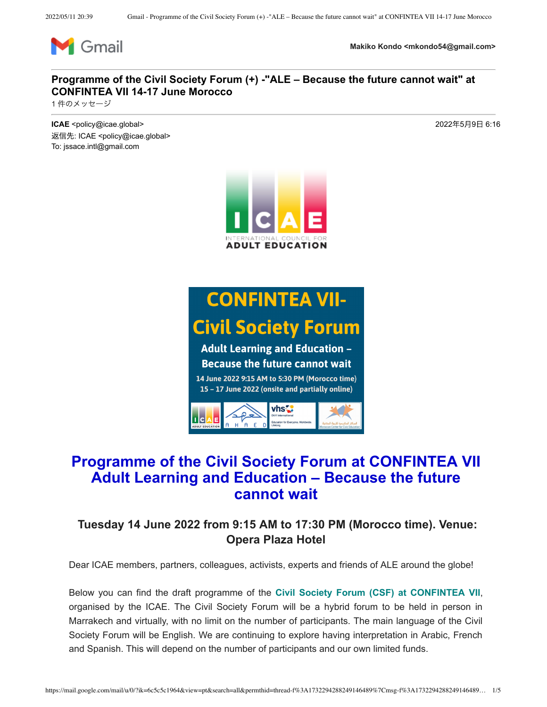

**Makiko Kondo <mkondo54@gmail.com>**

### **Programme of the Civil Society Forum (+) -"ALE – Because the future cannot wait" at CONFINTEA VII 14-17 June Morocco**

1件のメッセージ

**ICAE** <policy@icae.global> 2022年5月9日 6:16 返信先: ICAE <policy@icae.global> To: jssace.intl@gmail.com



# **CONFINTEA VII-Civil Society Forum**

**Adult Learning and Education -Because the future cannot wait** 

14 June 2022 9:15 AM to 5:30 PM (Morocco time) 15 - 17 June 2022 (onsite and partially online)



### **Programme of the Civil Society Forum at CONFINTEA VII Adult Learning and Education – Because the future cannot wait**

### **Tuesday 14 June 2022 from 9:15 AM to 17:30 PM (Morocco time). Venue: Opera Plaza Hotel**

Dear ICAE members, partners, colleagues, activists, experts and friends of ALE around the globe!

Below you can find the draft programme of the **Civil Society Forum (CSF) at CONFINTEA VII**, organised by the ICAE. The Civil Society Forum will be a hybrid forum to be held in person in Marrakech and virtually, with no limit on the number of participants. The main language of the Civil Society Forum will be English. We are continuing to explore having interpretation in Arabic, French and Spanish. This will depend on the number of participants and our own limited funds.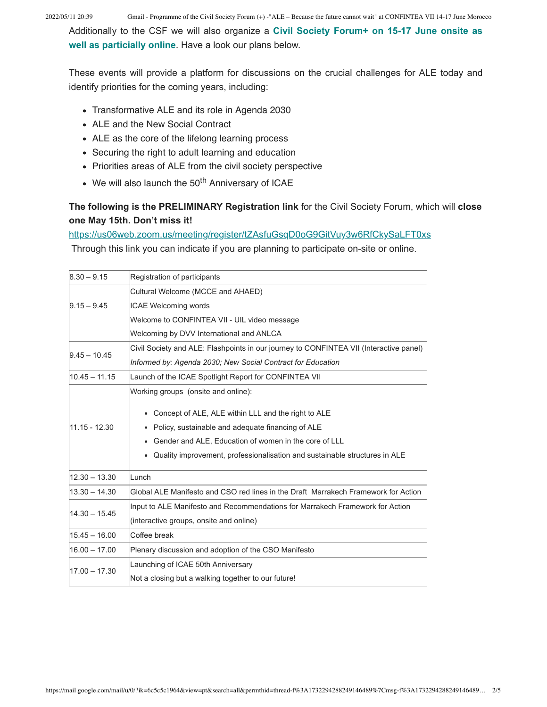Additionally to the CSF we will also organize a **Civil Society Forum+ on 15-17 June onsite as well as particially online**. Have a look our plans below.

These events will provide a platform for discussions on the crucial challenges for ALE today and identify priorities for the coming years, including:

- Transformative ALE and its role in Agenda 2030
- ALE and the New Social Contract
- ALE as the core of the lifelong learning process
- Securing the right to adult learning and education
- Priorities areas of ALE from the civil society perspective
- $\bullet$  We will also launch the 50<sup>th</sup> Anniversary of ICAE

#### **The following is the PRELIMINARY Registration link** for the Civil Society Forum, which will **close one May 15th. Don't miss it!**

https://us06web.zoom.us/meeting/register/tZAsfuGsqD0oG9GitVuy3w6RfCkySaLFT0xs

Through this link you can indicate if you are planning to participate on-site or online.

| $8.30 - 9.15$   | Registration of participants                                                           |  |  |  |  |
|-----------------|----------------------------------------------------------------------------------------|--|--|--|--|
|                 | Cultural Welcome (MCCE and AHAED)                                                      |  |  |  |  |
| $9.15 - 9.45$   | <b>ICAE Welcoming words</b>                                                            |  |  |  |  |
|                 | Welcome to CONFINTEA VII - UIL video message                                           |  |  |  |  |
|                 | Welcoming by DVV International and ANLCA                                               |  |  |  |  |
| $9.45 - 10.45$  | Civil Society and ALE: Flashpoints in our journey to CONFINTEA VII (Interactive panel) |  |  |  |  |
|                 | Informed by: Agenda 2030; New Social Contract for Education                            |  |  |  |  |
| $10.45 - 11.15$ | Launch of the ICAE Spotlight Report for CONFINTEA VII                                  |  |  |  |  |
| 11.15 - 12.30   | Working groups (onsite and online):                                                    |  |  |  |  |
|                 | Concept of ALE, ALE within LLL and the right to ALE                                    |  |  |  |  |
|                 | Policy, sustainable and adequate financing of ALE                                      |  |  |  |  |
|                 | • Gender and ALE, Education of women in the core of LLL                                |  |  |  |  |
|                 | Quality improvement, professionalisation and sustainable structures in ALE<br>٠        |  |  |  |  |
| $12.30 - 13.30$ | Lunch                                                                                  |  |  |  |  |
| $13.30 - 14.30$ | Global ALE Manifesto and CSO red lines in the Draft Marrakech Framework for Action     |  |  |  |  |
| $14.30 - 15.45$ | Input to ALE Manifesto and Recommendations for Marrakech Framework for Action          |  |  |  |  |
|                 | (interactive groups, onsite and online)                                                |  |  |  |  |
| $15.45 - 16.00$ | Coffee break                                                                           |  |  |  |  |
| $16.00 - 17.00$ | Plenary discussion and adoption of the CSO Manifesto                                   |  |  |  |  |
| 17.00 - 17.30   | Launching of ICAE 50th Anniversary                                                     |  |  |  |  |
|                 | Not a closing but a walking together to our future!                                    |  |  |  |  |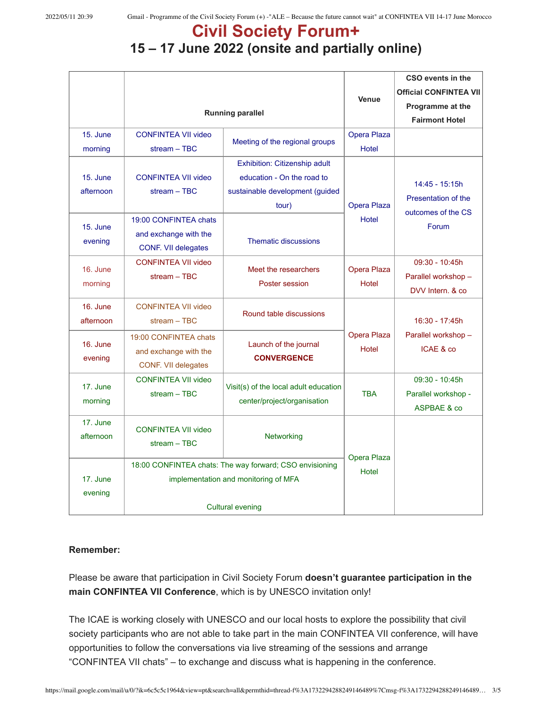# **Civil Society Forum+**

## **15 – 17 June 2022 (onsite and partially online)**

|                     |                                                                                                 |                                                                      |                      | CSO events in the             |
|---------------------|-------------------------------------------------------------------------------------------------|----------------------------------------------------------------------|----------------------|-------------------------------|
|                     |                                                                                                 |                                                                      | Venue                | <b>Official CONFINTEA VII</b> |
|                     | <b>Running parallel</b>                                                                         |                                                                      |                      | Programme at the              |
|                     |                                                                                                 |                                                                      |                      | <b>Fairmont Hotel</b>         |
| 15. June            | <b>CONFINTEA VII video</b>                                                                      | Meeting of the regional groups                                       | Opera Plaza          |                               |
| morning             | $stream - TBC$                                                                                  |                                                                      | Hotel                |                               |
|                     |                                                                                                 | Exhibition: Citizenship adult                                        |                      |                               |
| 15. June            | <b>CONFINTEA VII video</b>                                                                      | education - On the road to                                           |                      | 14:45 - 15:15h                |
| afternoon           | $stream - TBC$                                                                                  | sustainable development (guided                                      |                      | Presentation of the           |
|                     |                                                                                                 | tour)                                                                | Opera Plaza          | outcomes of the CS            |
| 15. June            | 19:00 CONFINTEA chats                                                                           |                                                                      | <b>Hotel</b>         | Forum                         |
|                     | and exchange with the                                                                           |                                                                      |                      |                               |
| evening             | CONF. VII delegates                                                                             | <b>Thematic discussions</b>                                          |                      |                               |
|                     | <b>CONFINTEA VII video</b>                                                                      |                                                                      |                      | $09:30 - 10:45h$              |
| 16. June            | $stream - TBC$                                                                                  | Meet the researchers                                                 | Opera Plaza          | Parallel workshop -           |
| morning             |                                                                                                 | Poster session                                                       | Hotel                | DVV Intern. & co              |
| 16. June            | <b>CONFINTEA VII video</b>                                                                      |                                                                      |                      |                               |
| afternoon           | $stream - TBC$                                                                                  | Round table discussions                                              |                      | 16:30 - 17:45h                |
| 16. June            | 19:00 CONFINTEA chats                                                                           | Launch of the journal                                                | Opera Plaza          | Parallel workshop -           |
|                     | and exchange with the                                                                           |                                                                      | Hotel                | ICAE & co                     |
| evening             | CONF. VII delegates                                                                             | <b>CONVERGENCE</b>                                                   |                      |                               |
|                     | <b>CONFINTEA VII video</b>                                                                      |                                                                      |                      | 09:30 - 10:45h                |
| 17. June<br>morning | $stream - TBC$                                                                                  | Visit(s) of the local adult education<br>center/project/organisation | <b>TBA</b>           | Parallel workshop -           |
|                     |                                                                                                 |                                                                      |                      | ASPBAE & co                   |
| 17. June            |                                                                                                 |                                                                      |                      |                               |
| afternoon           | <b>CONFINTEA VII video</b>                                                                      | Networking                                                           |                      |                               |
|                     | $stream - TBC$                                                                                  |                                                                      |                      |                               |
|                     | 18:00 CONFINTEA chats: The way forward; CSO envisioning<br>implementation and monitoring of MFA |                                                                      | Opera Plaza<br>Hotel |                               |
| 17. June            |                                                                                                 |                                                                      |                      |                               |
| evening             |                                                                                                 |                                                                      |                      |                               |
|                     | <b>Cultural evening</b>                                                                         |                                                                      |                      |                               |

#### **Remember:**

Please be aware that participation in Civil Society Forum **doesn't guarantee participation in the main CONFINTEA VII Conference**, which is by UNESCO invitation only!

The ICAE is working closely with UNESCO and our local hosts to explore the possibility that civil society participants who are not able to take part in the main CONFINTEA VII conference, will have opportunities to follow the conversations via live streaming of the sessions and arrange "CONFINTEA VII chats" – to exchange and discuss what is happening in the conference.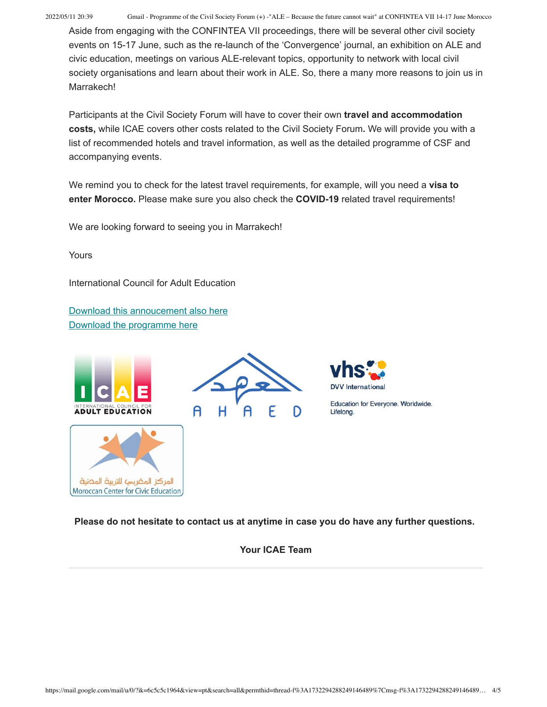2022/05/11 20:39 Gmail - Programme of the Civil Society Forum (+) -"ALE – Because the future cannot wait" at CONFINTEA VII 14-17 June Morocco

Aside from engaging with the CONFINTEA VII proceedings, there will be several other civil society events on 15-17 June, such as the re-launch of the 'Convergence' journal, an exhibition on ALE and civic education, meetings on various ALE-relevant topics, opportunity to network with local civil society organisations and learn about their work in ALE. So, there a many more reasons to join us in Marrakech!

Participants at the Civil Society Forum will have to cover their own **travel and accommodation costs,** while ICAE covers other costs related to the Civil Society Forum**.** We will provide you with a list of recommended hotels and travel information, as well as the detailed programme of CSF and accompanying events.

We remind you to check for the latest travel requirements, for example, will you need a **visa to enter Morocco.** Please make sure you also check the **COVID-19** related travel requirements!

We are looking forward to seeing you in Marrakech!

Yours

International Council for Adult Education

Download this annoucement also here Download the programme here









Education for Everyone. Worldwide. Lifelong.

**Please do not hesitate to contact us at anytime in case you do have any further questions.**

**Your ICAE Team**